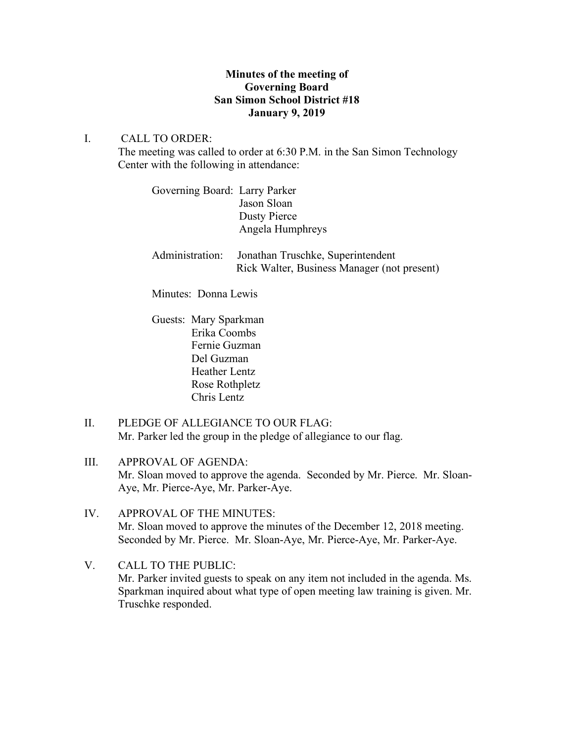# **Minutes of the meeting of Governing Board San Simon School District #18 January 9, 2019**

## I. CALL TO ORDER:

The meeting was called to order at 6:30 P.M. in the San Simon Technology Center with the following in attendance:

Governing Board: Larry Parker Jason Sloan Dusty Pierce Angela Humphreys

Administration: Jonathan Truschke, Superintendent Rick Walter, Business Manager (not present)

Minutes: Donna Lewis

Guests: Mary Sparkman Erika Coombs Fernie Guzman Del Guzman Heather Lentz Rose Rothpletz Chris Lentz

- II. PLEDGE OF ALLEGIANCE TO OUR FLAG: Mr. Parker led the group in the pledge of allegiance to our flag.
- III. APPROVAL OF AGENDA: Mr. Sloan moved to approve the agenda. Seconded by Mr. Pierce. Mr. Sloan-Aye, Mr. Pierce-Aye, Mr. Parker-Aye.
- IV. APPROVAL OF THE MINUTES: Mr. Sloan moved to approve the minutes of the December 12, 2018 meeting. Seconded by Mr. Pierce. Mr. Sloan-Aye, Mr. Pierce-Aye, Mr. Parker-Aye.
- V. CALL TO THE PUBLIC: Mr. Parker invited guests to speak on any item not included in the agenda. Ms. Sparkman inquired about what type of open meeting law training is given. Mr. Truschke responded.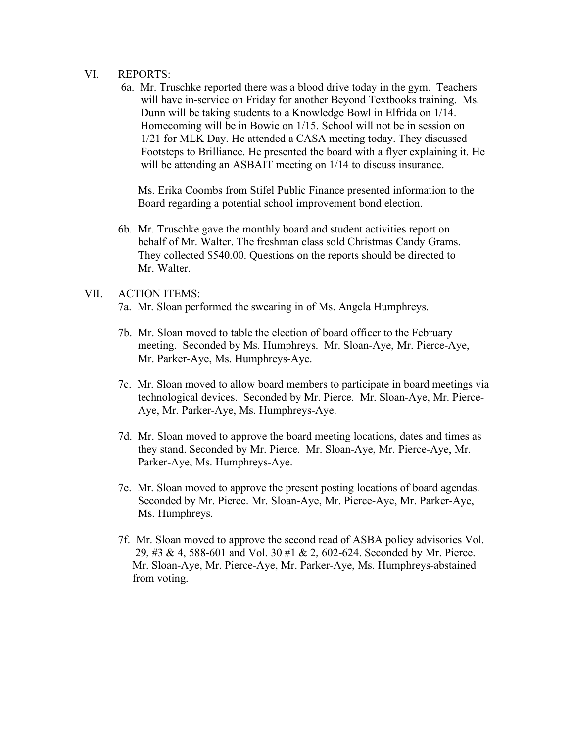#### VI. REPORTS:

6a. Mr. Truschke reported there was a blood drive today in the gym. Teachers will have in-service on Friday for another Beyond Textbooks training. Ms. Dunn will be taking students to a Knowledge Bowl in Elfrida on 1/14. Homecoming will be in Bowie on 1/15. School will not be in session on 1/21 for MLK Day. He attended a CASA meeting today. They discussed Footsteps to Brilliance. He presented the board with a flyer explaining it. He will be attending an ASBAIT meeting on  $1/14$  to discuss insurance.

 Ms. Erika Coombs from Stifel Public Finance presented information to the Board regarding a potential school improvement bond election.

6b. Mr. Truschke gave the monthly board and student activities report on behalf of Mr. Walter. The freshman class sold Christmas Candy Grams. They collected \$540.00. Questions on the reports should be directed to Mr. Walter.

### VII. ACTION ITEMS:

- 7a. Mr. Sloan performed the swearing in of Ms. Angela Humphreys.
- 7b. Mr. Sloan moved to table the election of board officer to the February meeting. Seconded by Ms. Humphreys. Mr. Sloan-Aye, Mr. Pierce-Aye, Mr. Parker-Aye, Ms. Humphreys-Aye.
- 7c. Mr. Sloan moved to allow board members to participate in board meetings via technological devices. Seconded by Mr. Pierce. Mr. Sloan-Aye, Mr. Pierce- Aye, Mr. Parker-Aye, Ms. Humphreys-Aye.
- 7d. Mr. Sloan moved to approve the board meeting locations, dates and times as they stand. Seconded by Mr. Pierce. Mr. Sloan-Aye, Mr. Pierce-Aye, Mr. Parker-Aye, Ms. Humphreys-Aye.
- 7e. Mr. Sloan moved to approve the present posting locations of board agendas. Seconded by Mr. Pierce. Mr. Sloan-Aye, Mr. Pierce-Aye, Mr. Parker-Aye, Ms. Humphreys.
- 7f. Mr. Sloan moved to approve the second read of ASBA policy advisories Vol. 29, #3 & 4, 588-601 and Vol. 30 #1 & 2, 602-624. Seconded by Mr. Pierce. Mr. Sloan-Aye, Mr. Pierce-Aye, Mr. Parker-Aye, Ms. Humphreys-abstained from voting.